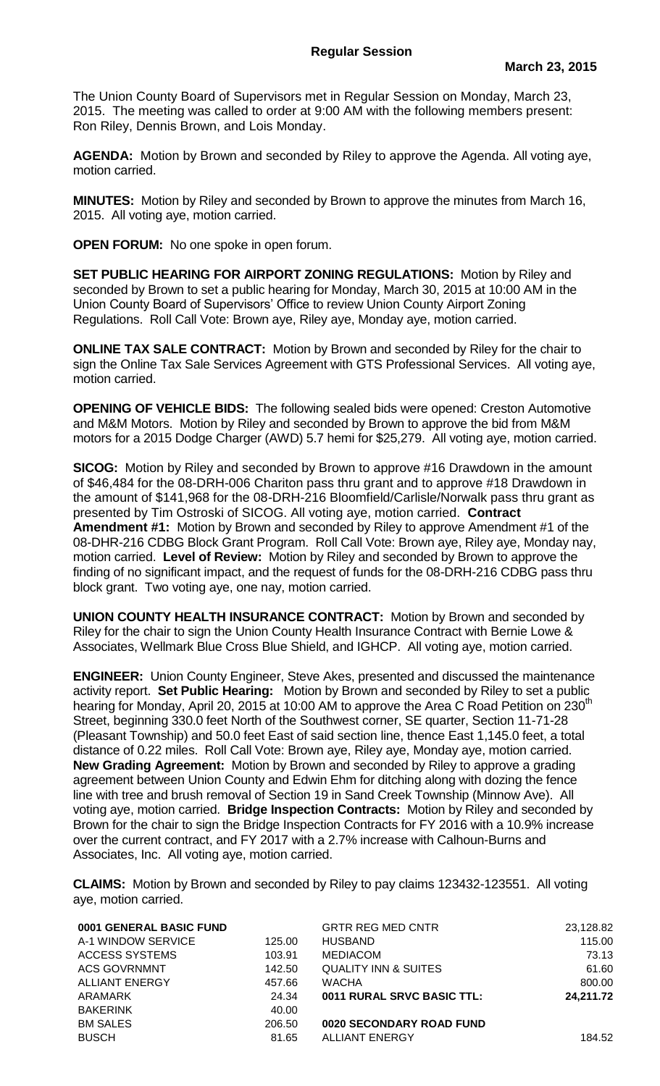The Union County Board of Supervisors met in Regular Session on Monday, March 23, 2015. The meeting was called to order at 9:00 AM with the following members present: Ron Riley, Dennis Brown, and Lois Monday.

**AGENDA:** Motion by Brown and seconded by Riley to approve the Agenda. All voting aye, motion carried.

**MINUTES:** Motion by Riley and seconded by Brown to approve the minutes from March 16, 2015. All voting aye, motion carried.

**OPEN FORUM:** No one spoke in open forum.

**SET PUBLIC HEARING FOR AIRPORT ZONING REGULATIONS:** Motion by Riley and seconded by Brown to set a public hearing for Monday, March 30, 2015 at 10:00 AM in the Union County Board of Supervisors' Office to review Union County Airport Zoning Regulations. Roll Call Vote: Brown aye, Riley aye, Monday aye, motion carried.

**ONLINE TAX SALE CONTRACT:** Motion by Brown and seconded by Riley for the chair to sign the Online Tax Sale Services Agreement with GTS Professional Services. All voting aye, motion carried.

**OPENING OF VEHICLE BIDS:** The following sealed bids were opened: Creston Automotive and M&M Motors. Motion by Riley and seconded by Brown to approve the bid from M&M motors for a 2015 Dodge Charger (AWD) 5.7 hemi for \$25,279. All voting aye, motion carried.

**SICOG:** Motion by Riley and seconded by Brown to approve #16 Drawdown in the amount of \$46,484 for the 08-DRH-006 Chariton pass thru grant and to approve #18 Drawdown in the amount of \$141,968 for the 08-DRH-216 Bloomfield/Carlisle/Norwalk pass thru grant as presented by Tim Ostroski of SICOG. All voting aye, motion carried. **Contract Amendment #1:** Motion by Brown and seconded by Riley to approve Amendment #1 of the 08-DHR-216 CDBG Block Grant Program. Roll Call Vote: Brown aye, Riley aye, Monday nay, motion carried. **Level of Review:** Motion by Riley and seconded by Brown to approve the finding of no significant impact, and the request of funds for the 08-DRH-216 CDBG pass thru block grant. Two voting aye, one nay, motion carried.

**UNION COUNTY HEALTH INSURANCE CONTRACT:** Motion by Brown and seconded by Riley for the chair to sign the Union County Health Insurance Contract with Bernie Lowe & Associates, Wellmark Blue Cross Blue Shield, and IGHCP. All voting aye, motion carried.

**ENGINEER:** Union County Engineer, Steve Akes, presented and discussed the maintenance activity report. **Set Public Hearing:** Motion by Brown and seconded by Riley to set a public hearing for Monday, April 20, 2015 at 10:00 AM to approve the Area C Road Petition on 230<sup>th</sup> Street, beginning 330.0 feet North of the Southwest corner, SE quarter, Section 11-71-28 (Pleasant Township) and 50.0 feet East of said section line, thence East 1,145.0 feet, a total distance of 0.22 miles. Roll Call Vote: Brown aye, Riley aye, Monday aye, motion carried. **New Grading Agreement:** Motion by Brown and seconded by Riley to approve a grading agreement between Union County and Edwin Ehm for ditching along with dozing the fence line with tree and brush removal of Section 19 in Sand Creek Township (Minnow Ave). All voting aye, motion carried. **Bridge Inspection Contracts:** Motion by Riley and seconded by Brown for the chair to sign the Bridge Inspection Contracts for FY 2016 with a 10.9% increase over the current contract, and FY 2017 with a 2.7% increase with Calhoun-Burns and Associates, Inc. All voting aye, motion carried.

**CLAIMS:** Motion by Brown and seconded by Riley to pay claims 123432-123551. All voting aye, motion carried.

| 0001 GENERAL BASIC FUND |        | <b>GRTR REG MED CNTR</b>        | 23,128.82 |
|-------------------------|--------|---------------------------------|-----------|
| A-1 WINDOW SERVICE      | 125.00 | <b>HUSBAND</b>                  | 115.00    |
| <b>ACCESS SYSTEMS</b>   | 103.91 | <b>MEDIACOM</b>                 | 73.13     |
| <b>ACS GOVRNMNT</b>     | 142.50 | <b>QUALITY INN &amp; SUITES</b> | 61.60     |
| <b>ALLIANT ENERGY</b>   | 457.66 | <b>WACHA</b>                    | 800.00    |
| ARAMARK                 | 24.34  | 0011 RURAL SRVC BASIC TTL:      | 24,211.72 |
| <b>BAKERINK</b>         | 40.00  |                                 |           |
| <b>BM SALES</b>         | 206.50 | 0020 SECONDARY ROAD FUND        |           |
| <b>BUSCH</b>            | 81.65  | <b>ALLIANT ENERGY</b>           | 184.52    |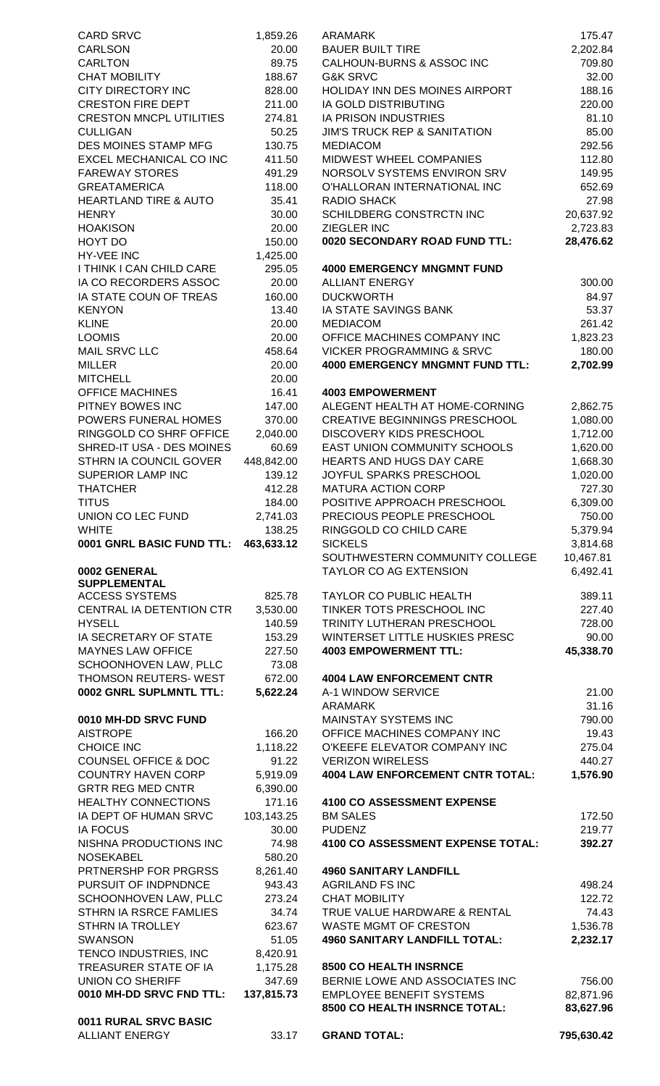| <b>CARD SRVC</b>                                      | 1,859.26             | <b>ARAMARK</b>                                                   | 175.47                |
|-------------------------------------------------------|----------------------|------------------------------------------------------------------|-----------------------|
| <b>CARLSON</b>                                        | 20.00                | <b>BAUER BUILT TIRE</b>                                          | 2,202.84              |
| <b>CARLTON</b>                                        | 89.75                | CALHOUN-BURNS & ASSOC INC                                        | 709.80                |
| <b>CHAT MOBILITY</b>                                  | 188.67               | G&K SRVC                                                         | 32.00                 |
| <b>CITY DIRECTORY INC</b><br><b>CRESTON FIRE DEPT</b> | 828.00<br>211.00     | HOLIDAY INN DES MOINES AIRPORT<br>IA GOLD DISTRIBUTING           | 188.16<br>220.00      |
| <b>CRESTON MNCPL UTILITIES</b>                        | 274.81               | IA PRISON INDUSTRIES                                             | 81.10                 |
| <b>CULLIGAN</b>                                       | 50.25                | <b>JIM'S TRUCK REP &amp; SANITATION</b>                          | 85.00                 |
| DES MOINES STAMP MFG                                  | 130.75               | <b>MEDIACOM</b>                                                  | 292.56                |
| EXCEL MECHANICAL CO INC                               | 411.50               | MIDWEST WHEEL COMPANIES                                          | 112.80                |
| <b>FAREWAY STORES</b>                                 | 491.29               | NORSOLV SYSTEMS ENVIRON SRV                                      | 149.95                |
| <b>GREATAMERICA</b>                                   | 118.00               | O'HALLORAN INTERNATIONAL INC                                     | 652.69                |
| <b>HEARTLAND TIRE &amp; AUTO</b>                      | 35.41                | <b>RADIO SHACK</b>                                               | 27.98                 |
| <b>HENRY</b>                                          | 30.00                | SCHILDBERG CONSTRCTN INC                                         | 20,637.92             |
| <b>HOAKISON</b>                                       | 20.00                | ZIEGLER INC<br>0020 SECONDARY ROAD FUND TTL:                     | 2,723.83<br>28,476.62 |
| HOYT DO<br><b>HY-VEE INC</b>                          | 150.00<br>1,425.00   |                                                                  |                       |
| I THINK I CAN CHILD CARE                              | 295.05               | <b>4000 EMERGENCY MNGMNT FUND</b>                                |                       |
| IA CO RECORDERS ASSOC                                 | 20.00                | <b>ALLIANT ENERGY</b>                                            | 300.00                |
| IA STATE COUN OF TREAS                                | 160.00               | <b>DUCKWORTH</b>                                                 | 84.97                 |
| <b>KENYON</b>                                         | 13.40                | IA STATE SAVINGS BANK                                            | 53.37                 |
| <b>KLINE</b>                                          | 20.00                | <b>MEDIACOM</b>                                                  | 261.42                |
| <b>LOOMIS</b>                                         | 20.00                | OFFICE MACHINES COMPANY INC                                      | 1,823.23              |
| <b>MAIL SRVC LLC</b>                                  | 458.64               | <b>VICKER PROGRAMMING &amp; SRVC</b>                             | 180.00                |
| <b>MILLER</b>                                         | 20.00                | <b>4000 EMERGENCY MNGMNT FUND TTL:</b>                           | 2,702.99              |
| <b>MITCHELL</b>                                       | 20.00                |                                                                  |                       |
| <b>OFFICE MACHINES</b>                                | 16.41                | <b>4003 EMPOWERMENT</b>                                          |                       |
| PITNEY BOWES INC                                      | 147.00               | ALEGENT HEALTH AT HOME-CORNING                                   | 2,862.75              |
| POWERS FUNERAL HOMES<br>RINGGOLD CO SHRF OFFICE       | 370.00<br>2,040.00   | <b>CREATIVE BEGINNINGS PRESCHOOL</b><br>DISCOVERY KIDS PRESCHOOL | 1,080.00              |
| SHRED-IT USA - DES MOINES                             | 60.69                | <b>EAST UNION COMMUNITY SCHOOLS</b>                              | 1,712.00<br>1,620.00  |
| STHRN IA COUNCIL GOVER                                | 448,842.00           | HEARTS AND HUGS DAY CARE                                         | 1,668.30              |
| <b>SUPERIOR LAMP INC</b>                              | 139.12               | JOYFUL SPARKS PRESCHOOL                                          | 1,020.00              |
| <b>THATCHER</b>                                       | 412.28               | <b>MATURA ACTION CORP</b>                                        | 727.30                |
| <b>TITUS</b>                                          | 184.00               | POSITIVE APPROACH PRESCHOOL                                      | 6,309.00              |
| UNION CO LEC FUND                                     | 2,741.03             | PRECIOUS PEOPLE PRESCHOOL                                        | 750.00                |
| <b>WHITE</b>                                          | 138.25               | RINGGOLD CO CHILD CARE                                           | 5,379.94              |
| 0001 GNRL BASIC FUND TTL:                             | 463,633.12           | <b>SICKELS</b>                                                   | 3,814.68              |
|                                                       |                      | SOUTHWESTERN COMMUNITY COLLEGE                                   | 10,467.81             |
| 0002 GENERAL<br><b>SUPPLEMENTAL</b>                   |                      | TAYLOR CO AG EXTENSION                                           | 6,492.41              |
| <b>ACCESS SYSTEMS</b>                                 | 825.78               | <b>TAYLOR CO PUBLIC HEALTH</b>                                   | 389.11                |
| CENTRAL IA DETENTION CTR                              | 3,530.00             | TINKER TOTS PRESCHOOL INC                                        | 227.40                |
| <b>HYSELL</b>                                         | 140.59               | TRINITY LUTHERAN PRESCHOOL                                       | 728.00                |
| IA SECRETARY OF STATE                                 | 153.29               | WINTERSET LITTLE HUSKIES PRESC                                   | 90.00                 |
| <b>MAYNES LAW OFFICE</b>                              | 227.50               | <b>4003 EMPOWERMENT TTL:</b>                                     | 45,338.70             |
| SCHOONHOVEN LAW, PLLC                                 | 73.08                |                                                                  |                       |
| THOMSON REUTERS- WEST                                 | 672.00               | <b>4004 LAW ENFORCEMENT CNTR</b>                                 |                       |
| 0002 GNRL SUPLMNTL TTL:                               | 5,622.24             | A-1 WINDOW SERVICE                                               | 21.00                 |
|                                                       |                      | <b>ARAMARK</b>                                                   | 31.16                 |
| 0010 MH-DD SRVC FUND                                  |                      | MAINSTAY SYSTEMS INC                                             | 790.00                |
| <b>AISTROPE</b>                                       | 166.20               | OFFICE MACHINES COMPANY INC                                      | 19.43                 |
| <b>CHOICE INC</b><br><b>COUNSEL OFFICE &amp; DOC</b>  | 1,118.22<br>91.22    | O'KEEFE ELEVATOR COMPANY INC<br><b>VERIZON WIRELESS</b>          | 275.04<br>440.27      |
| <b>COUNTRY HAVEN CORP</b>                             | 5,919.09             | <b>4004 LAW ENFORCEMENT CNTR TOTAL:</b>                          | 1,576.90              |
| <b>GRTR REG MED CNTR</b>                              | 6,390.00             |                                                                  |                       |
| <b>HEALTHY CONNECTIONS</b>                            | 171.16               | <b>4100 CO ASSESSMENT EXPENSE</b>                                |                       |
| IA DEPT OF HUMAN SRVC                                 | 103,143.25           | <b>BM SALES</b>                                                  | 172.50                |
| <b>IA FOCUS</b>                                       | 30.00                | <b>PUDENZ</b>                                                    | 219.77                |
| NISHNA PRODUCTIONS INC                                | 74.98                | 4100 CO ASSESSMENT EXPENSE TOTAL:                                | 392.27                |
| <b>NOSEKABEL</b>                                      | 580.20               |                                                                  |                       |
| PRTNERSHP FOR PRGRSS                                  | 8,261.40             | <b>4960 SANITARY LANDFILL</b>                                    |                       |
| PURSUIT OF INDPNDNCE                                  | 943.43               | <b>AGRILAND FS INC</b>                                           | 498.24                |
| SCHOONHOVEN LAW, PLLC                                 | 273.24               | <b>CHAT MOBILITY</b>                                             | 122.72                |
| STHRN IA RSRCE FAMLIES                                | 34.74                | TRUE VALUE HARDWARE & RENTAL                                     | 74.43                 |
| STHRN IA TROLLEY                                      | 623.67               | <b>WASTE MGMT OF CRESTON</b>                                     | 1,536.78              |
| <b>SWANSON</b>                                        | 51.05                | <b>4960 SANITARY LANDFILL TOTAL:</b>                             | 2,232.17              |
| TENCO INDUSTRIES, INC<br>TREASURER STATE OF IA        | 8,420.91<br>1,175.28 | 8500 CO HEALTH INSRNCE                                           |                       |
| <b>UNION CO SHERIFF</b>                               | 347.69               | BERNIE LOWE AND ASSOCIATES INC                                   | 756.00                |
| 0010 MH-DD SRVC FND TTL:                              | 137,815.73           | <b>EMPLOYEE BENEFIT SYSTEMS</b>                                  | 82,871.96             |
|                                                       |                      | 8500 CO HEALTH INSRNCE TOTAL:                                    | 83,627.96             |
| 0011 RURAL SRVC BASIC                                 |                      |                                                                  |                       |
| <b>ALLIANT ENERGY</b>                                 | 33.17                | <b>GRAND TOTAL:</b>                                              | 795,630.42            |
|                                                       |                      |                                                                  |                       |